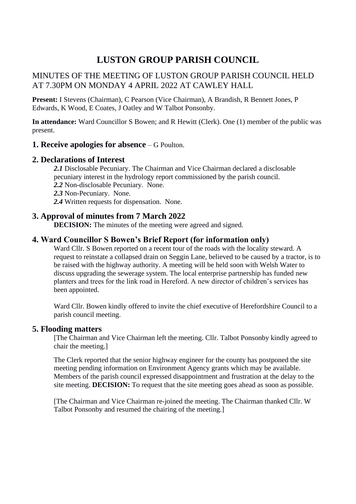# **LUSTON GROUP PARISH COUNCIL**

# MINUTES OF THE MEETING OF LUSTON GROUP PARISH COUNCIL HELD AT 7.30PM ON MONDAY 4 APRIL 2022 AT CAWLEY HALL

**Present:** I Stevens (Chairman), C Pearson (Vice Chairman), A Brandish, R Bennett Jones, P Edwards, K Wood, E Coates, J Oatley and W Talbot Ponsonby.

**In attendance:** Ward Councillor S Bowen; and R Hewitt (Clerk). One (1) member of the public was present.

#### **1. Receive apologies for absence** – G Poulton.

#### **2. Declarations of Interest**

*2.1* Disclosable Pecuniary. The Chairman and Vice Chairman declared a disclosable pecuniary interest in the hydrology report commissioned by the parish council.

*2.2* Non-disclosable Pecuniary. None.

*2.3* Non-Pecuniary. None.

*2.4* Written requests for dispensation. None.

## **3. Approval of minutes from 7 March 2022**

**DECISION:** The minutes of the meeting were agreed and signed.

## **4. Ward Councillor S Bowen's Brief Report (for information only)**

Ward Cllr. S Bowen reported on a recent tour of the roads with the locality steward. A request to reinstate a collapsed drain on Seggin Lane, believed to be caused by a tractor, is to be raised with the highway authority. A meeting will be held soon with Welsh Water to discuss upgrading the sewerage system. The local enterprise partnership has funded new planters and trees for the link road in Hereford. A new director of children's services has been appointed.

Ward Cllr. Bowen kindly offered to invite the chief executive of Herefordshire Council to a parish council meeting.

#### **5. Flooding matters**

[The Chairman and Vice Chairman left the meeting. Cllr. Talbot Ponsonby kindly agreed to chair the meeting.]

The Clerk reported that the senior highway engineer for the county has postponed the site meeting pending information on Environment Agency grants which may be available. Members of the parish council expressed disappointment and frustration at the delay to the site meeting. **DECISION:** To request that the site meeting goes ahead as soon as possible.

[The Chairman and Vice Chairman re-joined the meeting. The Chairman thanked Cllr. W Talbot Ponsonby and resumed the chairing of the meeting.]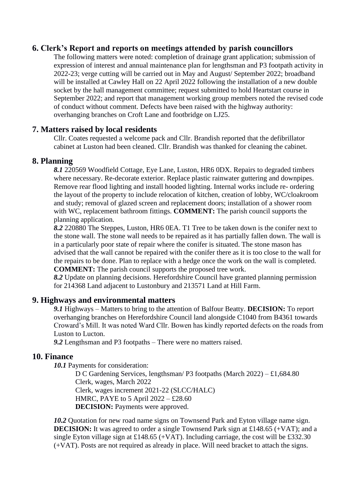## **6. Clerk's Report and reports on meetings attended by parish councillors**

The following matters were noted: completion of drainage grant application; submission of expression of interest and annual maintenance plan for lengthsman and P3 footpath activity in 2022-23; verge cutting will be carried out in May and August/ September 2022; broadband will be installed at Cawley Hall on 22 April 2022 following the installation of a new double socket by the hall management committee; request submitted to hold Heartstart course in September 2022; and report that management working group members noted the revised code of conduct without comment. Defects have been raised with the highway authority: overhanging branches on Croft Lane and footbridge on LJ25.

#### **7. Matters raised by local residents**

Cllr. Coates requested a welcome pack and Cllr. Brandish reported that the defibrillator cabinet at Luston had been cleaned. Cllr. Brandish was thanked for cleaning the cabinet.

#### **8. Planning**

*8.1* 220569 Woodfield Cottage, Eye Lane, Luston, HR6 0DX. Repairs to degraded timbers where necessary. Re-decorate exterior. Replace plastic rainwater guttering and downpipes. Remove rear flood lighting and install hooded lighting. Internal works include re- ordering the layout of the property to include relocation of kitchen, creation of lobby, WC/cloakroom and study; removal of glazed screen and replacement doors; installation of a shower room with WC, replacement bathroom fittings. **COMMENT:** The parish council supports the planning application.

*8.2* 220880 The Steppes, Luston, HR6 0EA. T1 Tree to be taken down is the conifer next to the stone wall. The stone wall needs to be repaired as it has partially fallen down. The wall is in a particularly poor state of repair where the conifer is situated. The stone mason has advised that the wall cannot be repaired with the conifer there as it is too close to the wall for the repairs to be done. Plan to replace with a hedge once the work on the wall is completed. **COMMENT:** The parish council supports the proposed tree work.

*8.2* Update on planning decisions. Herefordshire Council have granted planning permission for 214368 Land adjacent to Lustonbury and 213571 Land at Hill Farm.

### **9. Highways and environmental matters**

*9.1* Highways – Matters to bring to the attention of Balfour Beatty. **DECISION:** To report overhanging branches on Herefordshire Council land alongside C1040 from B4361 towards Croward's Mill. It was noted Ward Cllr. Bowen has kindly reported defects on the roads from Luston to Lucton.

*9.2* Lengthsman and P3 footpaths – There were no matters raised.

#### **10. Finance**

*10.1* Payments for consideration:

D C Gardening Services, lengthsman/ P3 footpaths (March 2022) – £1,684.80 Clerk, wages, March 2022 Clerk, wages increment 2021-22 (SLCC/HALC) HMRC, PAYE to 5 April 2022 – £28.60 **DECISION:** Payments were approved.

*10.2* Quotation for new road name signs on Townsend Park and Eyton village name sign. **DECISION:** It was agreed to order a single Townsend Park sign at £148.65 (+VAT); and a single Eyton village sign at £148.65 (+VAT). Including carriage, the cost will be £332.30 (+VAT). Posts are not required as already in place. Will need bracket to attach the signs.